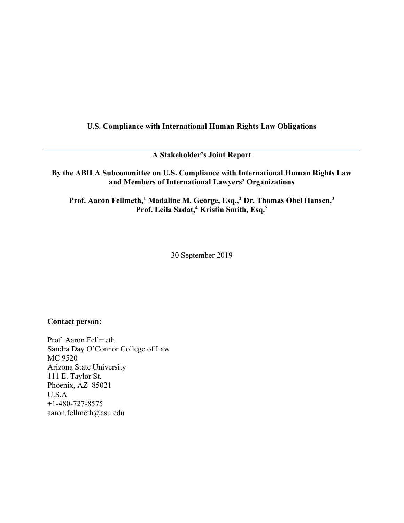### U.S. Compliance with International Human Rights Law Obligations

A Stakeholder's Joint Report

By the ABILA Subcommittee on U.S. Compliance with International Human Rights Law and Members of International Lawyers' Organizations

Prof. Aaron Fellmeth,<sup>1</sup> Madaline M. George, Esq.,<sup>2</sup> Dr. Thomas Obel Hansen,<sup>3</sup> Prof. Leila Sadat,<sup>4</sup> Kristin Smith, Esq.<sup>5</sup>

30 September 2019

### Contact person:

Prof. Aaron Fellmeth Sandra Day O'Connor College of Law MC 9520 Arizona State University 111 E. Taylor St. Phoenix, AZ 85021 U.S.A +1-480-727-8575 aaron.fellmeth@asu.edu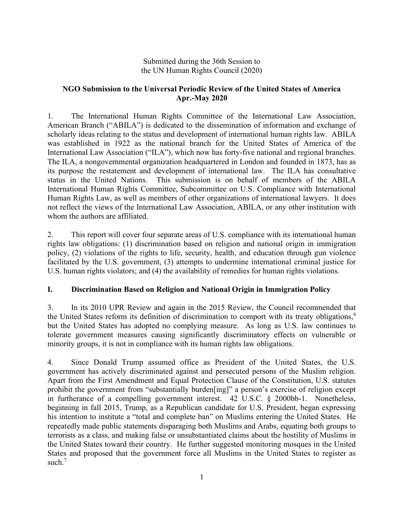### Submitted during the 36th Session to the UN Human Rights Council (2020)

### NGO Submission to the Universal Periodic Review of the United States of America Apr.-May 2020

1. The International Human Rights Committee of the International Law Association, American Branch ("ABILA") is dedicated to the dissemination of information and exchange of scholarly ideas relating to the status and development of international human rights law. ABILA was established in 1922 as the national branch for the United States of America of the International Law Association ("ILA"), which now has forty-five national and regional branches. The ILA, a nongovernmental organization headquartered in London and founded in 1873, has as its purpose the restatement and development of international law. The ILA has consultative status in the United Nations. This submission is on behalf of members of the ABILA International Human Rights Committee, Subcommittee on U.S. Compliance with International Human Rights Law, as well as members of other organizations of international lawyers. It does not reflect the views of the International Law Association, ABILA, or any other institution with whom the authors are affiliated.

2. This report will cover four separate areas of U.S. compliance with its international human rights law obligations: (1) discrimination based on religion and national origin in immigration policy, (2) violations of the rights to life, security, health, and education through gun violence facilitated by the U.S. government, (3) attempts to undermine international criminal justice for U.S. human rights violators; and (4) the availability of remedies for human rights violations.

# I. Discrimination Based on Religion and National Origin in Immigration Policy

3. In its 2010 UPR Review and again in the 2015 Review, the Council recommended that the United States reform its definition of discrimination to comport with its treaty obligations,<sup>6</sup> but the United States has adopted no complying measure. As long as U.S. law continues to tolerate government measures causing significantly discriminatory effects on vulnerable or minority groups, it is not in compliance with its human rights law obligations.

4. Since Donald Trump assumed office as President of the United States, the U.S. government has actively discriminated against and persecuted persons of the Muslim religion. Apart from the First Amendment and Equal Protection Clause of the Constitution, U.S. statutes prohibit the government from "substantially burden[ing]" a person's exercise of religion except in furtherance of a compelling government interest. 42 U.S.C. § 2000bb-1. Nonetheless, beginning in fall 2015, Trump, as a Republican candidate for U.S. President, began expressing his intention to institute a "total and complete ban" on Muslims entering the United States. He repeatedly made public statements disparaging both Muslims and Arabs, equating both groups to terrorists as a class, and making false or unsubstantiated claims about the hostility of Muslims in the United States toward their country. He further suggested monitoring mosques in the United States and proposed that the government force all Muslims in the United States to register as such.<sup>7</sup>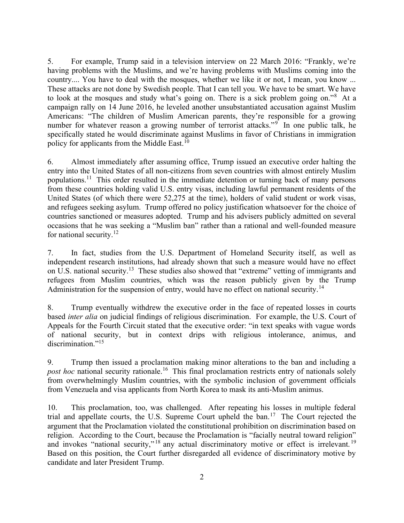5. For example, Trump said in a television interview on 22 March 2016: "Frankly, we're having problems with the Muslims, and we're having problems with Muslims coming into the country.... You have to deal with the mosques, whether we like it or not, I mean, you know ... These attacks are not done by Swedish people. That I can tell you. We have to be smart. We have to look at the mosques and study what's going on. There is a sick problem going on."<sup>8</sup> At a campaign rally on 14 June 2016, he leveled another unsubstantiated accusation against Muslim Americans: "The children of Muslim American parents, they're responsible for a growing number for whatever reason a growing number of terrorist attacks."<sup>9</sup> In one public talk, he specifically stated he would discriminate against Muslims in favor of Christians in immigration policy for applicants from the Middle East.<sup>10</sup>

6. Almost immediately after assuming office, Trump issued an executive order halting the entry into the United States of all non-citizens from seven countries with almost entirely Muslim populations.<sup>11</sup> This order resulted in the immediate detention or turning back of many persons from these countries holding valid U.S. entry visas, including lawful permanent residents of the United States (of which there were 52,275 at the time), holders of valid student or work visas, and refugees seeking asylum. Trump offered no policy justification whatsoever for the choice of countries sanctioned or measures adopted. Trump and his advisers publicly admitted on several occasions that he was seeking a "Muslim ban" rather than a rational and well-founded measure for national security. $12$ 

7. In fact, studies from the U.S. Department of Homeland Security itself, as well as independent research institutions, had already shown that such a measure would have no effect on U.S. national security.<sup>13</sup> These studies also showed that "extreme" vetting of immigrants and refugees from Muslim countries, which was the reason publicly given by the Trump Administration for the suspension of entry, would have no effect on national security.<sup>14</sup>

8. Trump eventually withdrew the executive order in the face of repeated losses in courts based inter alia on judicial findings of religious discrimination. For example, the U.S. Court of Appeals for the Fourth Circuit stated that the executive order: "in text speaks with vague words of national security, but in context drips with religious intolerance, animus, and discrimination."<sup>15</sup>

9. Trump then issued a proclamation making minor alterations to the ban and including a post hoc national security rationale.<sup>16</sup> This final proclamation restricts entry of nationals solely from overwhelmingly Muslim countries, with the symbolic inclusion of government officials from Venezuela and visa applicants from North Korea to mask its anti-Muslim animus.

10. This proclamation, too, was challenged. After repeating his losses in multiple federal trial and appellate courts, the U.S. Supreme Court upheld the ban.<sup>17</sup> The Court rejected the argument that the Proclamation violated the constitutional prohibition on discrimination based on religion. According to the Court, because the Proclamation is "facially neutral toward religion" and invokes "national security,"<sup>18</sup> any actual discriminatory motive or effect is irrelevant.<sup>19</sup> Based on this position, the Court further disregarded all evidence of discriminatory motive by candidate and later President Trump.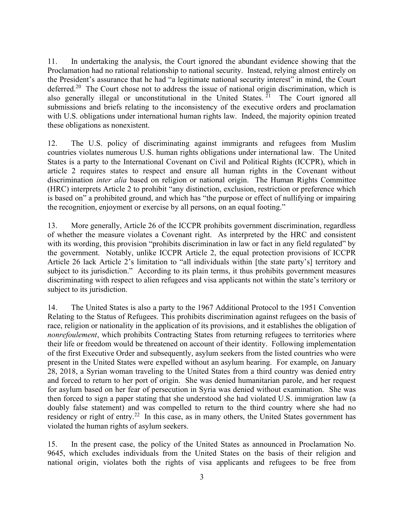11. In undertaking the analysis, the Court ignored the abundant evidence showing that the Proclamation had no rational relationship to national security. Instead, relying almost entirely on the President's assurance that he had "a legitimate national security interest" in mind, the Court deferred.<sup>20</sup> The Court chose not to address the issue of national origin discrimination, which is also generally illegal or unconstitutional in the United States.  $\frac{z_1}{z_1}$  The Court ignored all submissions and briefs relating to the inconsistency of the executive orders and proclamation with U.S. obligations under international human rights law. Indeed, the majority opinion treated these obligations as nonexistent.

12. The U.S. policy of discriminating against immigrants and refugees from Muslim countries violates numerous U.S. human rights obligations under international law. The United States is a party to the International Covenant on Civil and Political Rights (ICCPR), which in article 2 requires states to respect and ensure all human rights in the Covenant without discrimination *inter alia* based on religion or national origin. The Human Rights Committee (HRC) interprets Article 2 to prohibit "any distinction, exclusion, restriction or preference which is based on" a prohibited ground, and which has "the purpose or effect of nullifying or impairing the recognition, enjoyment or exercise by all persons, on an equal footing."

13. More generally, Article 26 of the ICCPR prohibits government discrimination, regardless of whether the measure violates a Covenant right. As interpreted by the HRC and consistent with its wording, this provision "prohibits discrimination in law or fact in any field regulated" by the government. Notably, unlike ICCPR Article 2, the equal protection provisions of ICCPR Article 26 lack Article 2's limitation to "all individuals within [the state party's] territory and subject to its jurisdiction." According to its plain terms, it thus prohibits government measures discriminating with respect to alien refugees and visa applicants not within the state's territory or subject to its jurisdiction.

14. The United States is also a party to the 1967 Additional Protocol to the 1951 Convention Relating to the Status of Refugees. This prohibits discrimination against refugees on the basis of race, religion or nationality in the application of its provisions, and it establishes the obligation of nonrefoulement, which prohibits Contracting States from returning refugees to territories where their life or freedom would be threatened on account of their identity. Following implementation of the first Executive Order and subsequently, asylum seekers from the listed countries who were present in the United States were expelled without an asylum hearing. For example, on January 28, 2018, a Syrian woman traveling to the United States from a third country was denied entry and forced to return to her port of origin. She was denied humanitarian parole, and her request for asylum based on her fear of persecution in Syria was denied without examination. She was then forced to sign a paper stating that she understood she had violated U.S. immigration law (a doubly false statement) and was compelled to return to the third country where she had no residency or right of entry.<sup>22</sup> In this case, as in many others, the United States government has violated the human rights of asylum seekers.

15. In the present case, the policy of the United States as announced in Proclamation No. 9645, which excludes individuals from the United States on the basis of their religion and national origin, violates both the rights of visa applicants and refugees to be free from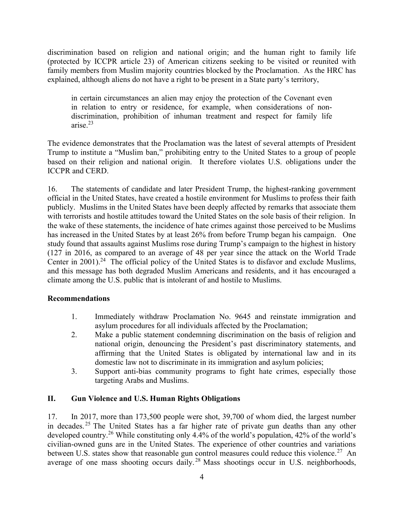discrimination based on religion and national origin; and the human right to family life (protected by ICCPR article 23) of American citizens seeking to be visited or reunited with family members from Muslim majority countries blocked by the Proclamation. As the HRC has explained, although aliens do not have a right to be present in a State party's territory,

in certain circumstances an alien may enjoy the protection of the Covenant even in relation to entry or residence, for example, when considerations of nondiscrimination, prohibition of inhuman treatment and respect for family life arise.<sup>23</sup>

The evidence demonstrates that the Proclamation was the latest of several attempts of President Trump to institute a "Muslim ban," prohibiting entry to the United States to a group of people based on their religion and national origin. It therefore violates U.S. obligations under the ICCPR and CERD.

16. The statements of candidate and later President Trump, the highest-ranking government official in the United States, have created a hostile environment for Muslims to profess their faith publicly. Muslims in the United States have been deeply affected by remarks that associate them with terrorists and hostile attitudes toward the United States on the sole basis of their religion. In the wake of these statements, the incidence of hate crimes against those perceived to be Muslims has increased in the United States by at least 26% from before Trump began his campaign. One study found that assaults against Muslims rose during Trump's campaign to the highest in history (127 in 2016, as compared to an average of 48 per year since the attack on the World Trade Center in  $2001$ <sup>24</sup>. The official policy of the United States is to disfavor and exclude Muslims, and this message has both degraded Muslim Americans and residents, and it has encouraged a climate among the U.S. public that is intolerant of and hostile to Muslims.

#### Recommendations

- 1. Immediately withdraw Proclamation No. 9645 and reinstate immigration and asylum procedures for all individuals affected by the Proclamation;
- 2. Make a public statement condemning discrimination on the basis of religion and national origin, denouncing the President's past discriminatory statements, and affirming that the United States is obligated by international law and in its domestic law not to discriminate in its immigration and asylum policies;
- 3. Support anti-bias community programs to fight hate crimes, especially those targeting Arabs and Muslims.

### II. Gun Violence and U.S. Human Rights Obligations

17. In 2017, more than 173,500 people were shot, 39,700 of whom died, the largest number in decades. <sup>25</sup> The United States has a far higher rate of private gun deaths than any other developed country.<sup>26</sup> While constituting only 4.4% of the world's population, 42% of the world's civilian-owned guns are in the United States. The experience of other countries and variations between U.S. states show that reasonable gun control measures could reduce this violence.<sup>27</sup> An average of one mass shooting occurs daily.<sup>28</sup> Mass shootings occur in U.S. neighborhoods,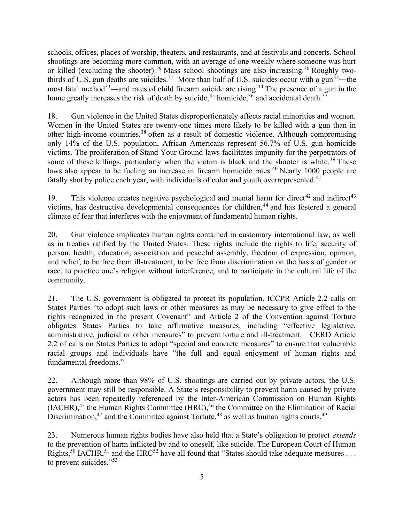schools, offices, places of worship, theaters, and restaurants, and at festivals and concerts. School shootings are becoming more common, with an average of one weekly where someone was hurt or killed (excluding the shooter).<sup>29</sup> Mass school shootings are also increasing.<sup>30</sup> Roughly twothirds of U.S. gun deaths are suicides.<sup>31</sup> More than half of U.S. suicides occur with a gun<sup>32</sup>—the most fatal method<sup>33</sup>—and rates of child firearm suicide are rising.<sup>34</sup> The presence of a gun in the home greatly increases the risk of death by suicide,<sup>35</sup> homicide,<sup>36</sup> and accidental death.<sup>37</sup>

18. Gun violence in the United States disproportionately affects racial minorities and women. Women in the United States are twenty-one times more likely to be killed with a gun than in other high-income countries,<sup>38</sup> often as a result of domestic violence. Although compromising only 14% of the U.S. population, African Americans represent 56.7% of U.S. gun homicide victims. The proliferation of Stand Your Ground laws facilitates impunity for the perpetrators of some of these killings, particularly when the victim is black and the shooter is white.<sup>39</sup> These laws also appear to be fueling an increase in firearm homicide rates.<sup>40</sup> Nearly 1000 people are fatally shot by police each year, with individuals of color and youth overrepresented.<sup>41</sup>

19. This violence creates negative psychological and mental harm for direct<sup>42</sup> and indirect<sup>43</sup> victims, has destructive developmental consequences for children, $44$  and has fostered a general climate of fear that interferes with the enjoyment of fundamental human rights.

20. Gun violence implicates human rights contained in customary international law, as well as in treaties ratified by the United States. These rights include the rights to life, security of person, health, education, association and peaceful assembly, freedom of expression, opinion, and belief, to be free from ill-treatment, to be free from discrimination on the basis of gender or race, to practice one's religion without interference, and to participate in the cultural life of the community.

21. The U.S. government is obligated to protect its population. ICCPR Article 2.2 calls on States Parties "to adopt such laws or other measures as may be necessary to give effect to the rights recognized in the present Covenant" and Article 2 of the Convention against Torture obligates States Parties to take affirmative measures, including "effective legislative, administrative, judicial or other measures" to prevent torture and ill-treatment. CERD Article 2.2 of calls on States Parties to adopt "special and concrete measures" to ensure that vulnerable racial groups and individuals have "the full and equal enjoyment of human rights and fundamental freedoms."

22. Although more than 98% of U.S. shootings are carried out by private actors, the U.S. government may still be responsible. A State's responsibility to prevent harm caused by private actors has been repeatedly referenced by the Inter-American Commission on Human Rights  $(LACHR)$ ,<sup>45</sup> the Human Rights Committee (HRC),<sup>46</sup> the Committee on the Elimination of Racial Discrimination,<sup>47</sup> and the Committee against Torture,<sup>48</sup> as well as human rights courts.<sup>49</sup>

23. Numerous human rights bodies have also held that a State's obligation to protect *extends* to the prevention of harm inflicted by and to oneself, like suicide. The European Court of Human Rights,<sup>50</sup> IACHR,<sup>51</sup> and the HRC<sup>52</sup> have all found that "States should take adequate measures . . . to prevent suicides."<sup>53</sup>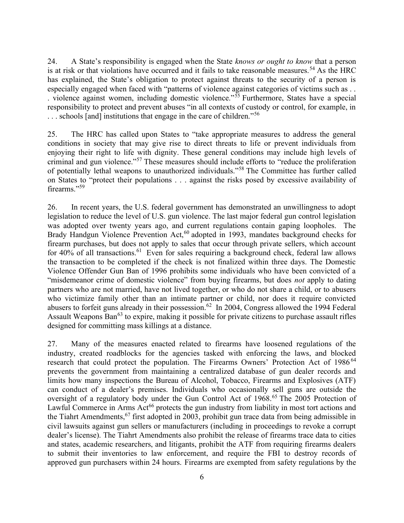24. A State's responsibility is engaged when the State knows or ought to know that a person is at risk or that violations have occurred and it fails to take reasonable measures.<sup>54</sup> As the HRC has explained, the State's obligation to protect against threats to the security of a person is especially engaged when faced with "patterns of violence against categories of victims such as . . . violence against women, including domestic violence."<sup>55</sup> Furthermore, States have a special responsibility to protect and prevent abuses "in all contexts of custody or control, for example, in ... schools [and] institutions that engage in the care of children."<sup>56</sup>

25. The HRC has called upon States to "take appropriate measures to address the general conditions in society that may give rise to direct threats to life or prevent individuals from enjoying their right to life with dignity. These general conditions may include high levels of criminal and gun violence."<sup>57</sup> These measures should include efforts to "reduce the proliferation of potentially lethal weapons to unauthorized individuals."<sup>58</sup> The Committee has further called on States to "protect their populations . . . against the risks posed by excessive availability of firearms."<sup>59</sup>

26. In recent years, the U.S. federal government has demonstrated an unwillingness to adopt legislation to reduce the level of U.S. gun violence. The last major federal gun control legislation was adopted over twenty years ago, and current regulations contain gaping loopholes. The Brady Handgun Violence Prevention Act,<sup>60</sup> adopted in 1993, mandates background checks for firearm purchases, but does not apply to sales that occur through private sellers, which account for  $40\%$  of all transactions.<sup>61</sup> Even for sales requiring a background check, federal law allows the transaction to be completed if the check is not finalized within three days. The Domestic Violence Offender Gun Ban of 1996 prohibits some individuals who have been convicted of a "misdemeanor crime of domestic violence" from buying firearms, but does *not* apply to dating partners who are not married, have not lived together, or who do not share a child, or to abusers who victimize family other than an intimate partner or child, nor does it require convicted abusers to forfeit guns already in their possession.<sup>62</sup> In 2004, Congress allowed the 1994 Federal Assault Weapons Ban<sup>63</sup> to expire, making it possible for private citizens to purchase assault rifles designed for committing mass killings at a distance.

27. Many of the measures enacted related to firearms have loosened regulations of the industry, created roadblocks for the agencies tasked with enforcing the laws, and blocked research that could protect the population. The Firearms Owners' Protection Act of 1986<sup>64</sup> prevents the government from maintaining a centralized database of gun dealer records and limits how many inspections the Bureau of Alcohol, Tobacco, Firearms and Explosives (ATF) can conduct of a dealer's premises. Individuals who occasionally sell guns are outside the oversight of a regulatory body under the Gun Control Act of 1968.<sup>65</sup> The 2005 Protection of Lawful Commerce in Arms Act<sup>66</sup> protects the gun industry from liability in most tort actions and the Tiahrt Amendments,  $67$  first adopted in 2003, prohibit gun trace data from being admissible in civil lawsuits against gun sellers or manufacturers (including in proceedings to revoke a corrupt dealer's license). The Tiahrt Amendments also prohibit the release of firearms trace data to cities and states, academic researchers, and litigants, prohibit the ATF from requiring firearms dealers to submit their inventories to law enforcement, and require the FBI to destroy records of approved gun purchasers within 24 hours. Firearms are exempted from safety regulations by the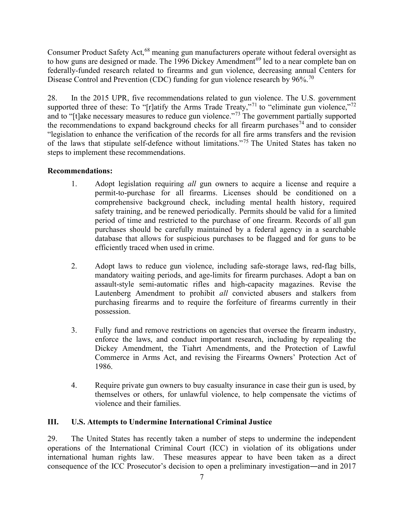Consumer Product Safety Act,<sup>68</sup> meaning gun manufacturers operate without federal oversight as to how guns are designed or made. The  $1996$  Dickey Amendment<sup>69</sup> led to a near complete ban on federally-funded research related to firearms and gun violence, decreasing annual Centers for Disease Control and Prevention (CDC) funding for gun violence research by 96%.<sup>70</sup>

28. In the 2015 UPR, five recommendations related to gun violence. The U.S. government supported three of these: To "[r]atify the Arms Trade Treaty,"<sup>71</sup> to "eliminate gun violence,"<sup>72</sup> and to "[t]ake necessary measures to reduce gun violence."<sup>73</sup> The government partially supported the recommendations to expand background checks for all firearm purchases<sup>74</sup> and to consider "legislation to enhance the verification of the records for all fire arms transfers and the revision of the laws that stipulate self-defence without limitations."<sup>75</sup> The United States has taken no steps to implement these recommendations.

# Recommendations:

- 1. Adopt legislation requiring all gun owners to acquire a license and require a permit-to-purchase for all firearms. Licenses should be conditioned on a comprehensive background check, including mental health history, required safety training, and be renewed periodically. Permits should be valid for a limited period of time and restricted to the purchase of one firearm. Records of all gun purchases should be carefully maintained by a federal agency in a searchable database that allows for suspicious purchases to be flagged and for guns to be efficiently traced when used in crime.
- 2. Adopt laws to reduce gun violence, including safe-storage laws, red-flag bills, mandatory waiting periods, and age-limits for firearm purchases. Adopt a ban on assault-style semi-automatic rifles and high-capacity magazines. Revise the Lautenberg Amendment to prohibit all convicted abusers and stalkers from purchasing firearms and to require the forfeiture of firearms currently in their possession.
- 3. Fully fund and remove restrictions on agencies that oversee the firearm industry, enforce the laws, and conduct important research, including by repealing the Dickey Amendment, the Tiahrt Amendments, and the Protection of Lawful Commerce in Arms Act, and revising the Firearms Owners' Protection Act of 1986.
- 4. Require private gun owners to buy casualty insurance in case their gun is used, by themselves or others, for unlawful violence, to help compensate the victims of violence and their families.

# III. U.S. Attempts to Undermine International Criminal Justice

29. The United States has recently taken a number of steps to undermine the independent operations of the International Criminal Court (ICC) in violation of its obligations under international human rights law. These measures appear to have been taken as a direct consequence of the ICC Prosecutor's decision to open a preliminary investigation―and in 2017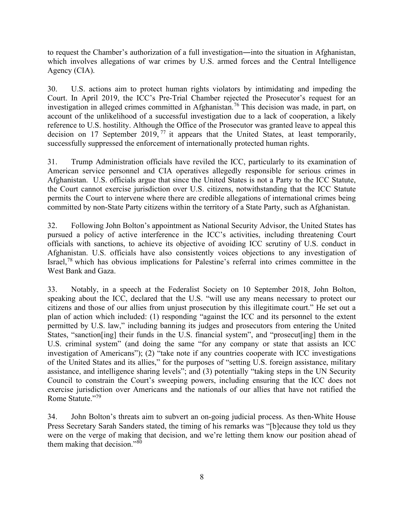to request the Chamber's authorization of a full investigation―into the situation in Afghanistan, which involves allegations of war crimes by U.S. armed forces and the Central Intelligence Agency (CIA).

30. U.S. actions aim to protect human rights violators by intimidating and impeding the Court. In April 2019, the ICC's Pre-Trial Chamber rejected the Prosecutor's request for an investigation in alleged crimes committed in Afghanistan.<sup>76</sup> This decision was made, in part, on account of the unlikelihood of a successful investigation due to a lack of cooperation, a likely reference to U.S. hostility. Although the Office of the Prosecutor was granted leave to appeal this decision on 17 September 2019,  $\frac{1}{2}$  it appears that the United States, at least temporarily, successfully suppressed the enforcement of internationally protected human rights.

31. Trump Administration officials have reviled the ICC, particularly to its examination of American service personnel and CIA operatives allegedly responsible for serious crimes in Afghanistan. U.S. officials argue that since the United States is not a Party to the ICC Statute, the Court cannot exercise jurisdiction over U.S. citizens, notwithstanding that the ICC Statute permits the Court to intervene where there are credible allegations of international crimes being committed by non-State Party citizens within the territory of a State Party, such as Afghanistan.

32. Following John Bolton's appointment as National Security Advisor, the United States has pursued a policy of active interference in the ICC's activities, including threatening Court officials with sanctions, to achieve its objective of avoiding ICC scrutiny of U.S. conduct in Afghanistan. U.S. officials have also consistently voices objections to any investigation of Israel,<sup>78</sup> which has obvious implications for Palestine's referral into crimes committee in the West Bank and Gaza.

33. Notably, in a speech at the Federalist Society on 10 September 2018, John Bolton, speaking about the ICC, declared that the U.S. "will use any means necessary to protect our citizens and those of our allies from unjust prosecution by this illegitimate court." He set out a plan of action which included: (1) responding "against the ICC and its personnel to the extent permitted by U.S. law," including banning its judges and prosecutors from entering the United States, "sanction[ing] their funds in the U.S. financial system", and "prosecut[ing] them in the U.S. criminal system" (and doing the same "for any company or state that assists an ICC investigation of Americans"); (2) "take note if any countries cooperate with ICC investigations of the United States and its allies," for the purposes of "setting U.S. foreign assistance, military assistance, and intelligence sharing levels"; and (3) potentially "taking steps in the UN Security Council to constrain the Court's sweeping powers, including ensuring that the ICC does not exercise jurisdiction over Americans and the nationals of our allies that have not ratified the Rome Statute."<sup>79</sup>

34. John Bolton's threats aim to subvert an on-going judicial process. As then-White House Press Secretary Sarah Sanders stated, the timing of his remarks was "[b]ecause they told us they were on the verge of making that decision, and we're letting them know our position ahead of them making that decision."<sup>80</sup>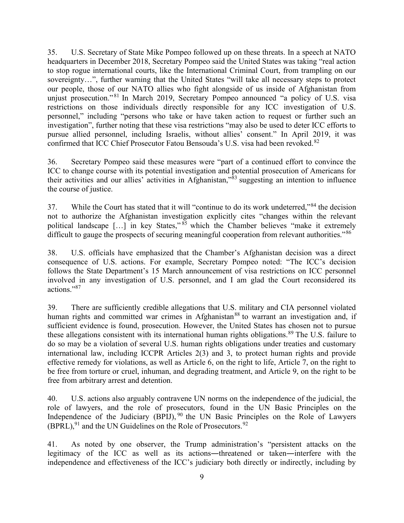35. U.S. Secretary of State Mike Pompeo followed up on these threats. In a speech at NATO headquarters in December 2018, Secretary Pompeo said the United States was taking "real action to stop rogue international courts, like the International Criminal Court, from trampling on our sovereignty…", further warning that the United States "will take all necessary steps to protect our people, those of our NATO allies who fight alongside of us inside of Afghanistan from unjust prosecution."<sup>81</sup> In March 2019, Secretary Pompeo announced "a policy of U.S. visa restrictions on those individuals directly responsible for any ICC investigation of U.S. personnel," including "persons who take or have taken action to request or further such an investigation", further noting that these visa restrictions "may also be used to deter ICC efforts to pursue allied personnel, including Israelis, without allies' consent." In April 2019, it was confirmed that ICC Chief Prosecutor Fatou Bensouda's U.S. visa had been revoked.<sup>82</sup>

36. Secretary Pompeo said these measures were "part of a continued effort to convince the ICC to change course with its potential investigation and potential prosecution of Americans for their activities and our allies' activities in Afghanistan,"<sup>83</sup> suggesting an intention to influence the course of justice.

37. While the Court has stated that it will "continue to do its work undeterred,"<sup>84</sup> the decision not to authorize the Afghanistan investigation explicitly cites "changes within the relevant political landscape  $\left[\ldots\right]$  in key States,"  $85$  which the Chamber believes "make it extremely" difficult to gauge the prospects of securing meaningful cooperation from relevant authorities."<sup>86</sup>

38. U.S. officials have emphasized that the Chamber's Afghanistan decision was a direct consequence of U.S. actions. For example, Secretary Pompeo noted: "The ICC's decision follows the State Department's 15 March announcement of visa restrictions on ICC personnel involved in any investigation of U.S. personnel, and I am glad the Court reconsidered its actions."<sup>87</sup>

39. There are sufficiently credible allegations that U.S. military and CIA personnel violated human rights and committed war crimes in Afghanistan<sup>88</sup> to warrant an investigation and, if sufficient evidence is found, prosecution. However, the United States has chosen not to pursue these allegations consistent with its international human rights obligations.<sup>89</sup> The U.S. failure to do so may be a violation of several U.S. human rights obligations under treaties and customary international law, including ICCPR Articles 2(3) and 3, to protect human rights and provide effective remedy for violations, as well as Article 6, on the right to life, Article 7, on the right to be free from torture or cruel, inhuman, and degrading treatment, and Article 9, on the right to be free from arbitrary arrest and detention.

40. U.S. actions also arguably contravene UN norms on the independence of the judicial, the role of lawyers, and the role of prosecutors, found in the UN Basic Principles on the Independence of the Judiciary  $(BPIJ)$ , <sup>90</sup> the UN Basic Principles on the Role of Lawyers  $(BPRL)$ , <sup>91</sup> and the UN Guidelines on the Role of Prosecutors.<sup>92</sup>

41. As noted by one observer, the Trump administration's "persistent attacks on the legitimacy of the ICC as well as its actions―threatened or taken―interfere with the independence and effectiveness of the ICC's judiciary both directly or indirectly, including by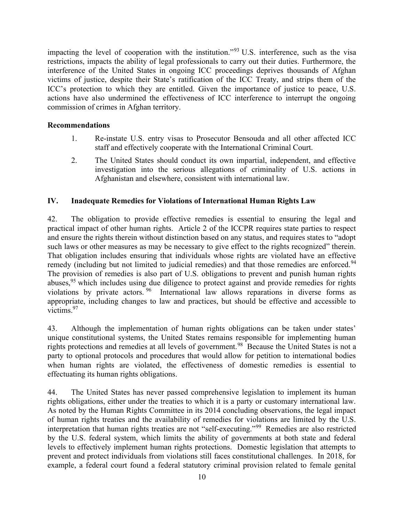impacting the level of cooperation with the institution."<sup>93</sup> U.S. interference, such as the visa restrictions, impacts the ability of legal professionals to carry out their duties. Furthermore, the interference of the United States in ongoing ICC proceedings deprives thousands of Afghan victims of justice, despite their State's ratification of the ICC Treaty, and strips them of the ICC's protection to which they are entitled. Given the importance of justice to peace, U.S. actions have also undermined the effectiveness of ICC interference to interrupt the ongoing commission of crimes in Afghan territory.

#### Recommendations

- 1. Re-instate U.S. entry visas to Prosecutor Bensouda and all other affected ICC staff and effectively cooperate with the International Criminal Court.
- 2. The United States should conduct its own impartial, independent, and effective investigation into the serious allegations of criminality of U.S. actions in Afghanistan and elsewhere, consistent with international law.

### IV. Inadequate Remedies for Violations of International Human Rights Law

42. The obligation to provide effective remedies is essential to ensuring the legal and practical impact of other human rights. Article 2 of the ICCPR requires state parties to respect and ensure the rights therein without distinction based on any status, and requires states to "adopt such laws or other measures as may be necessary to give effect to the rights recognized" therein. That obligation includes ensuring that individuals whose rights are violated have an effective remedy (including but not limited to judicial remedies) and that those remedies are enforced.<sup>94</sup> The provision of remedies is also part of U.S. obligations to prevent and punish human rights abuses,  $95$  which includes using due diligence to protect against and provide remedies for rights violations by private actors. <sup>96</sup> International law allows reparations in diverse forms as appropriate, including changes to law and practices, but should be effective and accessible to victims.<sup>97</sup>

43. Although the implementation of human rights obligations can be taken under states' unique constitutional systems, the United States remains responsible for implementing human rights protections and remedies at all levels of government.<sup>98</sup> Because the United States is not a party to optional protocols and procedures that would allow for petition to international bodies when human rights are violated, the effectiveness of domestic remedies is essential to effectuating its human rights obligations.

44. The United States has never passed comprehensive legislation to implement its human rights obligations, either under the treaties to which it is a party or customary international law. As noted by the Human Rights Committee in its 2014 concluding observations, the legal impact of human rights treaties and the availability of remedies for violations are limited by the U.S. interpretation that human rights treaties are not "self-executing."<sup>99</sup> Remedies are also restricted by the U.S. federal system, which limits the ability of governments at both state and federal levels to effectively implement human rights protections. Domestic legislation that attempts to prevent and protect individuals from violations still faces constitutional challenges. In 2018, for example, a federal court found a federal statutory criminal provision related to female genital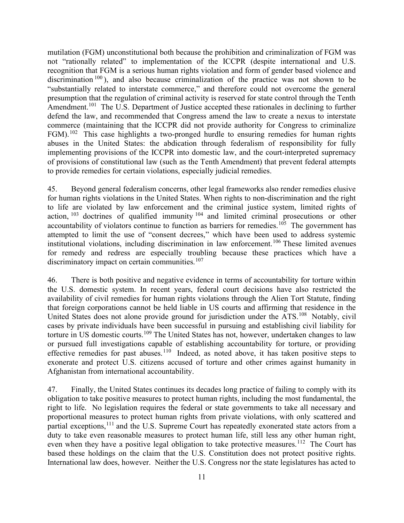mutilation (FGM) unconstitutional both because the prohibition and criminalization of FGM was not "rationally related" to implementation of the ICCPR (despite international and U.S. recognition that FGM is a serious human rights violation and form of gender based violence and discrimination  $100$ ), and also because criminalization of the practice was not shown to be "substantially related to interstate commerce," and therefore could not overcome the general presumption that the regulation of criminal activity is reserved for state control through the Tenth Amendment.<sup>101</sup> The U.S. Department of Justice accepted these rationales in declining to further defend the law, and recommended that Congress amend the law to create a nexus to interstate commerce (maintaining that the ICCPR did not provide authority for Congress to criminalize FGM).<sup>102</sup> This case highlights a two-pronged hurdle to ensuring remedies for human rights abuses in the United States: the abdication through federalism of responsibility for fully implementing provisions of the ICCPR into domestic law, and the court-interpreted supremacy of provisions of constitutional law (such as the Tenth Amendment) that prevent federal attempts to provide remedies for certain violations, especially judicial remedies.

45. Beyond general federalism concerns, other legal frameworks also render remedies elusive for human rights violations in the United States. When rights to non-discrimination and the right to life are violated by law enforcement and the criminal justice system, limited rights of action, <sup>103</sup> doctrines of qualified immunity <sup>104</sup> and limited criminal prosecutions or other accountability of violators continue to function as barriers for remedies.<sup>105</sup> The government has attempted to limit the use of "consent decrees," which have been used to address systemic institutional violations, including discrimination in law enforcement.<sup>106</sup> These limited avenues for remedy and redress are especially troubling because these practices which have a discriminatory impact on certain communities.<sup>107</sup>

46. There is both positive and negative evidence in terms of accountability for torture within the U.S. domestic system. In recent years, federal court decisions have also restricted the availability of civil remedies for human rights violations through the Alien Tort Statute, finding that foreign corporations cannot be held liable in US courts and affirming that residence in the United States does not alone provide ground for jurisdiction under the ATS.<sup>108</sup> Notably, civil cases by private individuals have been successful in pursuing and establishing civil liability for torture in US domestic courts.<sup>109</sup> The United States has not, however, undertaken changes to law or pursued full investigations capable of establishing accountability for torture, or providing effective remedies for past abuses.<sup>110</sup> Indeed, as noted above, it has taken positive steps to exonerate and protect U.S. citizens accused of torture and other crimes against humanity in Afghanistan from international accountability.

47. Finally, the United States continues its decades long practice of failing to comply with its obligation to take positive measures to protect human rights, including the most fundamental, the right to life. No legislation requires the federal or state governments to take all necessary and proportional measures to protect human rights from private violations, with only scattered and partial exceptions,<sup>111</sup> and the U.S. Supreme Court has repeatedly exonerated state actors from a duty to take even reasonable measures to protect human life, still less any other human right, even when they have a positive legal obligation to take protective measures.<sup>112</sup> The Court has based these holdings on the claim that the U.S. Constitution does not protect positive rights. International law does, however. Neither the U.S. Congress nor the state legislatures has acted to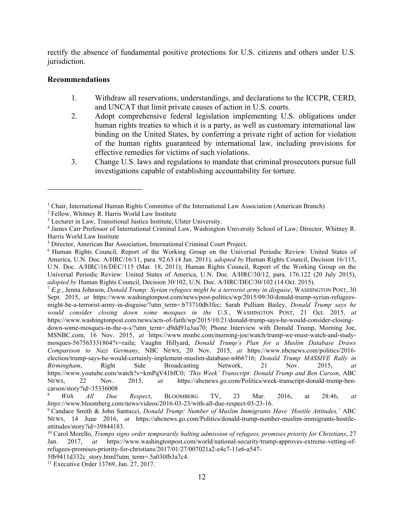rectify the absence of fundamental positive protections for U.S. citizens and others under U.S. jurisdiction.

#### Recommendations

- 1. Withdraw all reservations, understandings, and declarations to the ICCPR, CERD, and UNCAT that limit private causes of action in U.S. courts.
- 2. Adopt comprehensive federal legislation implementing U.S. obligations under human rights treaties to which it is a party, as well as customary international law binding on the United States, by conferring a private right of action for violation of the human rights guaranteed by international law, including provisions for effective remedies for victims of such violations.
- 3. Change U.S. laws and regulations to mandate that criminal prosecutors pursue full investigations capable of establishing accountability for torture.

 $^7$  E.g., Jenna Johnson, Donald Trump: Syrian refugees might be a terrorist army in disguise, WASHINGTON POST, 30 Sept. 2015, at https://www.washingtonpost.com/news/post-politics/wp/2015/09/30/donald-trump-syrian-refugeesmight-be-a-terrorist-army-in-disguise/?utm\_term=.b73710db3fec; Sarah Pulliam Bailey, *Donald Trump says he* would consider closing down some mosques in the U.S., WASHINGTON POST, 21 Oct. 2015, at https://www.washingtonpost.com/news/acts-of-faith/wp/2015/10/21/donald-trump-says-he-would-consider-closing-

down-some-mosques-in-the-u-s/?utm\_term=.d9dd91a3aa70; Phone Interview with Donald Trump, Morning Joe, MSNBC.com, 16 Nov. 2015, at https://www.msnbc.com/morning-joe/watch/trump-we-must-watch-and-studymosques-567563331864?v=raila; Vaughn Hillyard, Donald Trump's Plan for a Muslim Database Draws Comparison to Nazi Germany, NBC NEWS, 20 Nov. 2015, at https://www.nbcnews.com/politics/2016 election/trump-says-he-would-certainly-implement-muslim-database-n466716; Donald Trump MASSIVE Rally in Birmingham, Right Side Broadcasting Network, 21 Nov. 2015, at https://www.youtube.com/watch?v=kmPqV41bfC0; 'This Week' Transcript: Donald Trump and Ben Carson, ABC NEWS, 22 Nov. 2015, at https://abcnews.go.com/Politics/week-transcript-donald-trump-bencarson/story?id=35336008

With All Due Respect, BLOOMBERG TV, 23 Mar. 2016, at 28:46, at https://www.bloomberg.com/news/videos/2016-03-23/with-all-due-respect-03-23-16.

<sup>&</sup>lt;sup>1</sup> Chair, International Human Rights Committee of the International Law Association (American Branch)

<sup>2</sup> Fellow, Whitney R. Harris World Law Institute

<sup>&</sup>lt;sup>3</sup> Lecturer in Law, Transitional Justice Institute, Ulster University.

<sup>4</sup> James Carr Professor of International Criminal Law, Washington University School of Law; Director, Whitney R. Harris World Law Institute

<sup>&</sup>lt;sup>5</sup> Director, American Bar Association, International Criminal Court Project.

<sup>6</sup> Human Rights Council, Report of the Working Group on the Universal Periodic Review: United States of America, U.N. Doc. A/HRC/16/11, para. 92.63 (4 Jan. 2011), adopted by Human Rights Council, Decision 16/115, U.N. Doc. A/HRC/16/DEC/115 (Mar. 18, 2011); Human Rights Council, Report of the Working Group on the Universal Periodic Review: United States of America, U.N. Doc. A/HRC/30/12, para. 176.122 (20 July 2015), adopted by Human Rights Council, Decision 30/102, U.N. Doc. A/HRC/DEC/30/102 (14 Oct. 2015).

<sup>&</sup>lt;sup>9</sup> Candace Smith & John Santucci, *Donald Trump: Number of Muslim Immigrants Have 'Hostile Attitudes,'* ABC NEWS, 14 June 2016, at https://abcnews.go.com/Politics/donald-trump-number-muslim-immigrants-hostileattitudes/story?id=39844183.

 $10$  Carol Morello, Trumps signs order temporarily halting admission of refugees, promises priority for Christians, 27 Jan. 2017, at https://www.washingtonpost.com/world/national-security/trump-approves-extreme-vetting-ofrefugees-promises-priority-for-christians/2017/01/27/007021a2-e4c7-11e6-a547-

<sup>5</sup>fb9411d332c\_story.html?utm\_term=.5a030fb3a7c4.

<sup>11</sup> Executive Order 13769, Jan. 27, 2017.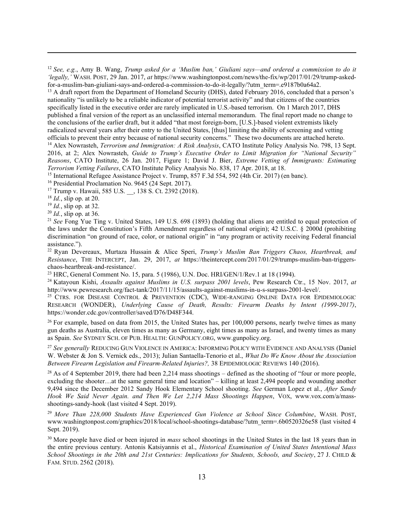<sup>12</sup> See, e.g., Amy B. Wang, Trump asked for a 'Muslim ban,' Giuliani says—and ordered a commission to do it 'legally,' WASH. POST, 29 Jan. 2017, at https://www.washingtonpost.com/news/the-fix/wp/2017/01/29/trump-askedfor-a-muslim-ban-giuliani-says-and-ordered-a-commission-to-do-it-legally/?utm\_term=.e9187b0a64a2.

<sup>13</sup> A draft report from the Department of Homeland Security (DHS), dated February 2016, concluded that a person's nationality "is unlikely to be a reliable indicator of potential terrorist activity" and that citizens of the countries specifically listed in the executive order are rarely implicated in U.S.-based terrorism. On 1 March 2017, DHS published a final version of the report as an unclassified internal memorandum. The final report made no change to the conclusions of the earlier draft, but it added "that most foreign-born, [U.S.]-based violent extremists likely radicalized several years after their entry to the United States, [thus] limiting the ability of screening and vetting

officials to prevent their entry because of national security concerns." These two documents are attached hereto. <sup>14</sup> Alex Nowrasteh, Terrorism and Immigration: A Risk Analysis, CATO Institute Policy Analysis No. 798, 13 Sept. 2016, at 2; Alex Nowrasteh, Guide to Trump's Executive Order to Limit Migration for "National Security' Reasons, CATO Institute, 26 Jan. 2017, Figure 1; David J. Bier, Extreme Vetting of Immigrants: Estimating Terrorism Vetting Failures, CATO Institute Policy Analysis No. 838, 17 Apr. 2018, at 18.

<sup>15</sup> International Refugee Assistance Project v. Trump, 857 F.3d 554, 592 (4th Cir. 2017) (en banc).

<sup>16</sup> Presidential Proclamation No. 9645 (24 Sept. 2017).

<sup>17</sup> Trump v. Hawaii, 585 U.S. \_\_, 138 S. Ct. 2392 (2018).

 $18$  *Id.*, slip op. at 20.

 $19$  *Id.*, slip op. at 32.

 $^{20}$  *Id.*, slip op. at 36.

<sup>21</sup> See Fong Yue Ting v. United States, 149 U.S. 698 (1893) (holding that aliens are entitled to equal protection of the laws under the Constitution's Fifth Amendment regardless of national origin); 42 U.S.C. § 2000d (prohibiting discrimination "on ground of race, color, or national origin" in "any program or activity receiving Federal financial assistance.").

 $22$  Ryan Devereaux, Murtaza Hussain & Alice Speri, Trump's Muslim Ban Triggers Chaos, Heartbreak, and Resistance, THE INTERCEPT, Jan. 29, 2017, at https://theintercept.com/2017/01/29/trumps-muslim-ban-triggerschaos-heartbreak-and-resistance/.

<sup>23</sup> HRC, General Comment No. 15, para. 5 (1986), U.N. Doc. HRI/GEN/1/Rev.1 at 18 (1994).

<sup>24</sup> Katayoun Kishi, Assaults against Muslims in U.S. surpass 2001 levels, Pew Research Ctr., 15 Nov. 2017, at http://www.pewresearch.org/fact-tank/2017/11/15/assaults-against-muslims-in-u-s-surpass-2001-level/.

<sup>25</sup> CTRS. FOR DISEASE CONTROL & PREVENTION (CDC), WIDE-RANGING ONLINE DATA FOR EPIDEMIOLOGIC RESEARCH (WONDER), Underlying Cause of Death, Results: Firearm Deaths by Intent (1999-2017), https://wonder.cdc.gov/controller/saved/D76/D48F344.

 $26$  For example, based on data from 2015, the United States has, per 100,000 persons, nearly twelve times as many gun deaths as Australia, eleven times as many as Germany, eight times as many as Israel, and twenty times as many as Spain. See SYDNEY SCH. OF PUB. HEALTH: GUNPOLICY.ORG, www.gunpolicy.org.

<sup>27</sup> See generally REDUCING GUN VIOLENCE IN AMERICA: INFORMING POLICY WITH EVIDENCE AND ANALYSIS (Daniel W. Webster & Jon S. Vernick eds., 2013); Julian Santaella-Tenorio et al., What Do We Know About the Association Between Firearm Legislation and Firearm-Related Injuries?, 38 EPIDEMIOLOGIC REVIEWS 140 (2016).

 $28$  As of 4 September 2019, there had been 2,214 mass shootings – defined as the shooting of "four or more people, excluding the shooter…at the same general time and location" – killing at least 2,494 people and wounding another 9,494 since the December 2012 Sandy Hook Elementary School shooting. See German Lopez et al., After Sandy Hook We Said Never Again. and Then We Let 2,214 Mass Shootings Happen, VOX, www.vox.com/a/massshootings-sandy-hook (last visited 4 Sept. 2019).

<sup>29</sup> More Than 228,000 Students Have Experienced Gun Violence at School Since Columbine, WASH. POST, www.washingtonpost.com/graphics/2018/local/school-shootings-database/?utm\_term=.6b0520326e58 (last visited 4 Sept. 2019).

<sup>30</sup> More people have died or been injured in *mass* school shootings in the United States in the last 18 years than in the entire previous century. Antonis Katsiyannis et al., Historical Examination of United States Intentional Mass School Shootings in the 20th and 21st Centuries: Implications for Students, Schools, and Society, 27 J. CHILD & FAM. STUD. 2562 (2018).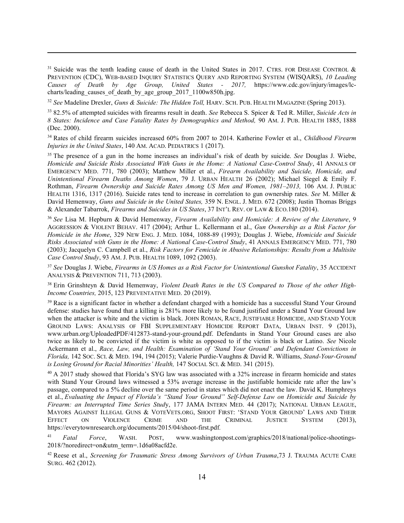<sup>31</sup> Suicide was the tenth leading cause of death in the United States in 2017. CTRS. FOR DISEASE CONTROL & PREVENTION (CDC), WEB-BASED INQUIRY STATISTICS QUERY AND REPORTING SYSTEM (WISQARS), 10 Leading Causes of Death by Age Group, United States - 2017, https://www.cdc.gov/injury/images/lccharts/leading\_causes\_of\_death\_by\_age\_group\_2017\_1100w850h.jpg.

<sup>32</sup> See Madeline Drexler, Guns & Suicide: The Hidden Toll, HARV. SCH. PUB. HEALTH MAGAZINE (Spring 2013).

33 82.5% of attempted suicides with firearms result in death. See Rebecca S. Spicer & Ted R. Miller, Suicide Acts in 8 States: Incidence and Case Fatality Rates by Demographics and Method, 90 AM. J. PUB. HEALTH 1885, 1888 (Dec. 2000).

<sup>34</sup> Rates of child firearm suicides increased 60% from 2007 to 2014. Katherine Fowler et al., Childhood Firearm Injuries in the United States, 140 AM. ACAD. PEDIATRICS 1 (2017).

<sup>35</sup> The presence of a gun in the home increases an individual's risk of death by suicide. *See* Douglas J. Wiebe, Homicide and Suicide Risks Associated With Guns in the Home: A National Case-Control Study, 41 ANNALS OF EMERGENCY MED. 771, 780 (2003); Matthew Miller et al., Firearm Availability and Suicide, Homicide, and Unintentional Firearm Deaths Among Women, 79 J. URBAN HEALTH 26 (2002); Michael Siegel & Emily F. Rothman, Firearm Ownership and Suicide Rates Among US Men and Women, 1981–2013, 106 AM. J. PUBLIC HEALTH 1316, 1317 (2016). Suicide rates tend to increase in correlation to gun ownership rates. See M. Miller & David Hemenway, Guns and Suicide in the United States, 359 N. ENGL. J. MED. 672 (2008); Justin Thomas Briggs & Alexander Tabarrok, Firearms and Suicides in US States, 37 INT'L REV. OF LAW & ECO.180 (2014).

<sup>36</sup> See Lisa M. Hepburn & David Hemenway, Firearm Availability and Homicide: A Review of the Literature, 9 AGGRESSION & VIOLENT BEHAV. 417 (2004); Arthur L. Kellermann et al., Gun Ownership as a Risk Factor for Homicide in the Home, 329 NEW ENG. J. MED. 1084, 1088-89 (1993); Douglas J. Wiebe, Homicide and Suicide Risks Associated with Guns in the Home: A National Case-Control Study, 41 ANNALS EMERGENCY MED. 771, 780 (2003); Jacquelyn C. Campbell et al., Risk Factors for Femicide in Abusive Relationships: Results from a Multisite Case Control Study, 93 AM. J. PUB. HEALTH 1089, 1092 (2003).

<sup>37</sup> See Douglas J. Wiebe, Firearms in US Homes as a Risk Factor for Unintentional Gunshot Fatality, 35 ACCIDENT ANALYSIS & PREVENTION 711, 713 (2003).

<sup>38</sup> Erin Grinshteyn & David Hemenway, Violent Death Rates in the US Compared to Those of the other High-Income Countries, 2015, 123 PREVENTATIVE MED. 20 (2019).

<sup>39</sup> Race is a significant factor in whether a defendant charged with a homicide has a successful Stand Your Ground defense: studies have found that a killing is 281% more likely to be found justified under a Stand Your Ground law when the attacker is white and the victim is black. JOHN ROMAN, RACE, JUSTIFIABLE HOMICIDE, AND STAND YOUR GROUND LAWS: ANALYSIS OF FBI SUPPLEMENTARY HOMICIDE REPORT DATA, URBAN INST. 9 (2013), www.urban.org/UploadedPDF/412873-stand-your-ground.pdf. Defendants in Stand Your Ground cases are also twice as likely to be convicted if the victim is white as opposed to if the victim is black or Latino. See Nicole Ackermann et al., Race, Law, and Health: Examination of 'Stand Your Ground' and Defendant Convictions in Florida, 142 SOC. SCI. & MED. 194, 194 (2015); Valerie Purdie-Vaughns & David R. Williams, Stand-Your-Ground is Losing Ground for Racial Minorities' Health, 147 SOCIAL SCI. & MED. 341 (2015).

<sup>40</sup> A 2017 study showed that Florida's SYG law was associated with a 32% increase in firearm homicide and states with Stand Your Ground laws witnessed a 53% average increase in the justifiable homicide rate after the law's passage, compared to a 5% decline over the same period in states which did not enact the law. David K. Humphreys et al., Evaluating the Impact of Florida's "Stand Your Ground" Self-Defense Law on Homicide and Suicide by Firearm: an Interrupted Time Series Study, 177 JAMA INTERN MED. 44 (2017); NATIONAL URBAN LEAGUE, MAYORS AGAINST ILLEGAL GUNS & VOTEVETS.ORG, SHOOT FIRST: 'STAND YOUR GROUND' LAWS AND THEIR EFFECT ON VIOLENCE CRIME AND THE CRIMINAL JUSTICE SYSTEM (2013), https://everytownresearch.org/documents/2015/04/shoot-first.pdf.

<sup>41</sup> Fatal Force, WASH. POST, www.washingtonpost.com/graphics/2018/national/police-shootings-2018/?noredirect=on&utm\_term=.1d6a08acfd2e.

 $42$  Reese et al., Screening for Traumatic Stress Among Survivors of Urban Trauma, 73 J. TRAUMA ACUTE CARE SURG. 462 (2012).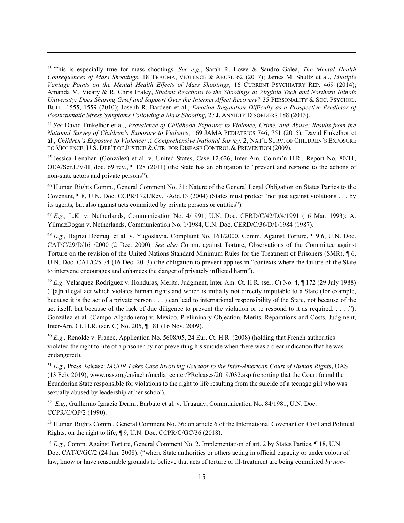<sup>43</sup> This is especially true for mass shootings. See e.g., Sarah R. Lowe & Sandro Galea, The Mental Health Consequences of Mass Shootings, 18 TRAUMA, VIOLENCE & ABUSE 62 (2017); James M. Shultz et al., Multiple Vantage Points on the Mental Health Effects of Mass Shootings, 16 CURRENT PSYCHIATRY REP. 469 (2014); Amanda M. Vicary & R. Chris Fraley, Student Reactions to the Shootings at Virginia Tech and Northern Illinois University: Does Sharing Grief and Support Over the Internet Affect Recovery? 35 PERSONALITY & SOC. PSYCHOL. BULL. 1555, 1559 (2010); Joseph R. Bardeen et al., *Emotion Regulation Difficulty as a Prospective Predictor of* Posttraumatic Stress Symptoms Following a Mass Shooting, 27 J. ANXIETY DISORDERS 188 (2013).

<sup>44</sup> See David Finkelhor et al., Prevalence of Childhood Exposure to Violence, Crime, and Abuse: Results from the National Survey of Children's Exposure to Violence, 169 JAMA PEDIATRICS 746, 751 (2015); David Finkelhor et al., Children's Exposure to Violence: A Comprehensive National Survey, 2, NAT'L SURV. OF CHILDREN'S EXPOSURE TO VIOLENCE, U.S. DEP'T OF JUSTICE & CTR. FOR DISEASE CONTROL & PREVENTION (2009).

<sup>45</sup> Jessica Lenahan (Gonzalez) et al. v. United States, Case 12.626, Inter-Am. Comm'n H.R., Report No. 80/11, OEA/Ser.L/V/II, doc. 69 rev., ¶ 128 (2011) (the State has an obligation to "prevent and respond to the actions of non-state actors and private persons").

<sup>46</sup> Human Rights Comm., General Comment No. 31: Nature of the General Legal Obligation on States Parties to the Covenant, ¶ 8, U.N. Doc. CCPR/C/21/Rev.1/Add.13 (2004) (States must protect "not just against violations . . . by its agents, but also against acts committed by private persons or entities").

 $^{47}$  E.g., L.K. v. Netherlands, Communication No. 4/1991, U.N. Doc. CERD/C/42/D/4/1991 (16 Mar. 1993); A. YilmazDogan v. Netherlands, Communication No. 1/1984, U.N. Doc. CERD/C/36/D/1/1984 (1987).

<sup>48</sup> E.g., Hajrizi Dzemajl et al. v. Yugoslavia, Complaint No. 161/2000, Comm. Against Torture, ¶ 9.6, U.N. Doc. CAT/C/29/D/161/2000 (2 Dec. 2000). See also Comm. against Torture, Observations of the Committee against Torture on the revision of the United Nations Standard Minimum Rules for the Treatment of Prisoners (SMR), ¶ 6, U.N. Doc. CAT/C/51/4 (16 Dec. 2013) (the obligation to prevent applies in "contexts where the failure of the State to intervene encourages and enhances the danger of privately inflicted harm").

<sup>49</sup> E.g. Velásquez-Rodríguez v. Honduras, Merits, Judgment, Inter-Am. Ct. H.R. (ser. C) No. 4, ¶ 172 (29 July 1988) ("[a]n illegal act which violates human rights and which is initially not directly imputable to a State (for example, because it is the act of a private person . . . ) can lead to international responsibility of the State, not because of the act itself, but because of the lack of due diligence to prevent the violation or to respond to it as required.  $\dots$ ."); González et al. (Campo Algodonero) v. Mexico, Preliminary Objection, Merits, Reparations and Costs, Judgment, Inter-Am. Ct. H.R. (ser. C) No. 205, ¶ 181 (16 Nov. 2009).

<sup>50</sup> E.g., Renolde v. France, Application No. 5608/05, 24 Eur. Ct. H.R. (2008) (holding that French authorities violated the right to life of a prisoner by not preventing his suicide when there was a clear indication that he was endangered).

<sup>51</sup> E.g., Press Release: IACHR Takes Case Involving Ecuador to the Inter-American Court of Human Rights, OAS (13 Feb. 2019), www.oas.org/en/iachr/media\_center/PReleases/2019/032.asp (reporting that the Court found the Ecuadorian State responsible for violations to the right to life resulting from the suicide of a teenage girl who was sexually abused by leadership at her school).

 $^{52}$  E.g., Guillermo Ignacio Dermit Barbato et al. v. Uruguay, Communication No. 84/1981, U.N. Doc. CCPR/C/OP/2 (1990).

<sup>53</sup> Human Rights Comm., General Comment No. 36: on article 6 of the International Covenant on Civil and Political Rights, on the right to life, ¶ 9, U.N. Doc. CCPR/C/GC/36 (2018).

<sup>54</sup> E.g., Comm. Against Torture, General Comment No. 2, Implementation of art. 2 by States Parties, ¶ 18, U.N. Doc. CAT/C/GC/2 (24 Jan. 2008). ("where State authorities or others acting in official capacity or under colour of law, know or have reasonable grounds to believe that acts of torture or ill-treatment are being committed by non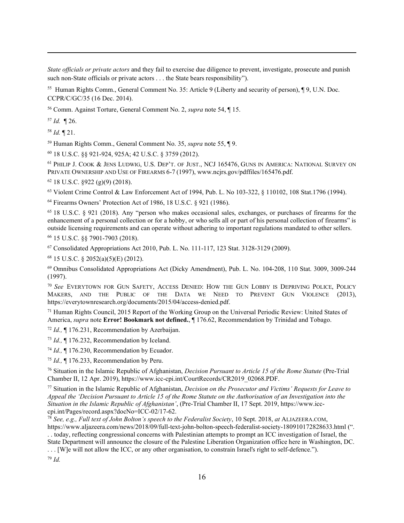State officials or private actors and they fail to exercise due diligence to prevent, investigate, prosecute and punish such non-State officials or private actors . . . the State bears responsibility").

<sup>55</sup> Human Rights Comm., General Comment No. 35: Article 9 (Liberty and security of person), ¶ 9, U.N. Doc. CCPR/C/GC/35 (16 Dec. 2014).

<sup>56</sup> Comm. Against Torture, General Comment No. 2, supra note 54, ¶ 15.

 $57$  *Id.*  $\P$  26.

 $58$  *Id.*  $\P$  21.

<sup>59</sup> Human Rights Comm., General Comment No. 35, supra note 55, ¶ 9.

<sup>60</sup> 18 U.S.C. §§ 921-924, 925A; 42 U.S.C. § 3759 (2012).

<sup>61</sup> PHILIP J. COOK & JENS LUDWIG, U.S. DEP'T. OF JUST., NCJ 165476, GUNS IN AMERICA: NATIONAL SURVEY ON PRIVATE OWNERSHIP AND USE OF FIREARMS 6-7 (1997), www.ncjrs.gov/pdffiles/165476.pdf.

<sup>62</sup> 18 U.S.C. §922 (g)(9) (2018).

<sup>63</sup> Violent Crime Control & Law Enforcement Act of 1994, Pub. L. No 103-322, § 110102, 108 Stat.1796 (1994).

<sup>64</sup> Firearms Owners' Protection Act of 1986, 18 U.S.C. § 921 (1986).

<sup>65</sup> 18 U.S.C. § 921 (2018). Any "person who makes occasional sales, exchanges, or purchases of firearms for the enhancement of a personal collection or for a hobby, or who sells all or part of his personal collection of firearms" is outside licensing requirements and can operate without adhering to important regulations mandated to other sellers.

<sup>66</sup> 15 U.S.C. §§ 7901-7903 (2018).

<sup>67</sup> Consolidated Appropriations Act 2010, Pub. L. No. 111-117, 123 Stat. 3128-3129 (2009).

<sup>68</sup> 15 U.S.C. § 2052(a)(5)(E) (2012).

<sup>69</sup> Omnibus Consolidated Appropriations Act (Dicky Amendment), Pub. L. No. 104-208, 110 Stat. 3009, 3009-244 (1997).

<sup>70</sup> See EVERYTOWN FOR GUN SAFETY, ACCESS DENIED: HOW THE GUN LOBBY IS DEPRIVING POLICE, POLICY MAKERS, AND THE PUBLIC OF THE DATA WE NEED TO PREVENT GUN VIOLENCE (2013), https://everytownresearch.org/documents/2015/04/access-denied.pdf.

<sup>71</sup> Human Rights Council, 2015 Report of the Working Group on the Universal Periodic Review: United States of America, supra note Error! Bookmark not defined., 176.62, Recommendation by Trinidad and Tobago.

 $72$  Id.,  $\P$  176.231, Recommendation by Azerbaijan.

<sup>73</sup> Id., ¶ 176.232, Recommendation by Iceland.

<sup>74</sup> Id., ¶ 176.230, Recommendation by Ecuador.

 $^{75}$  *Id.*, ¶ 176.233, Recommendation by Peru.

<sup>76</sup> Situation in the Islamic Republic of Afghanistan, *Decision Pursuant to Article 15 of the Rome Statute* (Pre-Trial Chamber II, 12 Apr. 2019), https://www.icc-cpi.int/CourtRecords/CR2019\_02068.PDF.

 $77$  Situation in the Islamic Republic of Afghanistan, Decision on the Prosecutor and Victims' Requests for Leave to Appeal the 'Decision Pursuant to Article 15 of the Rome Statute on the Authorisation of an Investigation into the Situation in the Islamic Republic of Afghanistan', (Pre-Trial Chamber II, 17 Sept. 2019, https://www.icccpi.int/Pages/record.aspx?docNo=ICC-02/17-62.

<sup>78</sup> See, e.g., Full text of John Bolton's speech to the Federalist Society, 10 Sept. 2018, at ALJAZEERA.COM, https://www.aljazeera.com/news/2018/09/full-text-john-bolton-speech-federalist-society-180910172828633.html (". . . today, reflecting congressional concerns with Palestinian attempts to prompt an ICC investigation of Israel, the State Department will announce the closure of the Palestine Liberation Organization office here in Washington, DC. ... [W]e will not allow the ICC, or any other organisation, to constrain Israel's right to self-defence.").  $79$  Id.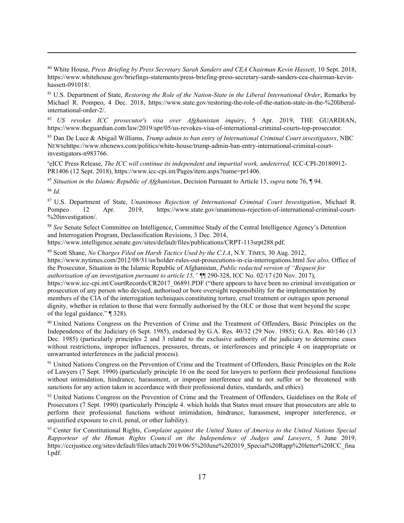<sup>80</sup> White House, Press Briefing by Press Secretary Sarah Sanders and CEA Chairman Kevin Hassett, 10 Sept. 2018, https://www.whitehouse.gov/briefings-statements/press-briefing-press-secretary-sarah-sanders-cea-chairman-kevinhassett-091018/.

<sup>81</sup> U.S. Department of State, Restoring the Role of the Nation-State in the Liberal International Order, Remarks by Michael R. Pompeo, 4 Dec. 2018, https://www.state.gov/restoring-the-role-of-the-nation-state-in-the-%20liberalinternational-order-2/.

 $82$  US revokes ICC prosecutor's visa over Afghanistan inquiry, 5 Apr. 2019, THE GUARDIAN, https://www.theguardian.com/law/2019/apr/05/us-revokes-visa-of-international-criminal-courts-top-prosecutor.

 $83$  Dan De Luce & Abigail Williams, Trump admin to ban entry of International Criminal Court investigators, NBC NEWSehttps://www.nbcnews.com/politics/white-house/trump-admin-ban-entry-international-criminal-courtinvestigators-n983766.

<sup>e</sup>eICC Press Release, The ICC will continue its independent and impartial work, undeterred, ICC-CPI-20180912- PR1406 (12 Sept. 2018), https://www.icc-cpi.int/Pages/item.aspx?name=pr1406.

<sup>85</sup> Situation in the Islamic Republic of Afghanistan, Decision Pursuant to Article 15, supra note 76,  $\sqrt{\phantom{a}}$  94.  $86$  Id.

<sup>87</sup> U.S. Department of State, Unanimous Rejection of International Criminal Court Investigation, Michael R. Pompeo 12 Apr. 2019, https://www.state.gov/unanimous-rejection-of-international-criminal-court- %20investigation/.

<sup>88</sup> See Senate Select Committee on Intelligence, Committee Study of the Central Intelligence Agency's Detention and Interrogation Program, Declassification Revisions, 3 Dec. 2014,

https://www.intelligence.senate.gov/sites/default/files/publications/CRPT-113srpt288.pdf.

<sup>89</sup> Scott Shane, No Charges Filed on Harsh Tactics Used by the C.I.A, N.Y. TIMES, 30 Aug. 2012, https://www.nytimes.com/2012/08/31/us/holder-rules-out-prosecutions-in-cia-interrogations.html See also, Office of the Prosecutor, Situation in the Islamic Republic of Afghanistan, Public redacted version of "Request for authorisation of an investigation pursuant to article 15," ¶¶ 290-328, ICC No. 02/17 (20 Nov. 2017), https://www.icc-cpi.int/CourtRecords/CR2017\_06891.PDF ("there appears to have been no criminal investigation or prosecution of any person who devised, authorised or bore oversight responsibility for the implementation by members of the CIA of the interrogation techniques constituting torture, cruel treatment or outrages upon personal dignity, whether in relation to those that were formally authorised by the OLC or those that went beyond the scope of the legal guidance." ¶ 328).

<sup>90</sup> United Nations Congress on the Prevention of Crime and the Treatment of Offenders, Basic Principles on the Independence of the Judiciary (6 Sept. 1985), endorsed by G.A. Res. 40/32 (29 Nov. 1985); G.A. Res. 40/146 (13 Dec. 1985) (particularly principles 2 and 3 related to the exclusive authority of the judiciary to determine cases without restrictions, improper influences, pressures, threats, or interferences and principle 4 on inappropriate or unwarranted interferences in the judicial process).

<sup>91</sup> United Nations Congress on the Prevention of Crime and the Treatment of Offenders, Basic Principles on the Role of Lawyers (7 Sept. 1990) (particularly principle 16 on the need for lawyers to perform their professional functions without intimidation, hindrance, harassment, or improper interference and to not suffer or be threatened with sanctions for any action taken in accordance with their professional duties, standards, and ethics).

<sup>92</sup> United Nations Congress on the Prevention of Crime and the Treatment of Offenders, Guidelines on the Role of Prosecutors (7 Sept. 1990) (particularly Principle 4. which holds that States must ensure that prosecutors are able to perform their professional functions without intimidation, hindrance, harassment, improper interference, or unjustified exposure to civil, penal, or other liability).

 $93$  Center for Constitutional Rights, Complaint against the United States of America to the United Nations Special Rapporteur of the Human Rights Council on the Independence of Judges and Lawyers, 5 June 2019, https://ccrjustice.org/sites/default/files/attach/2019/06/5%20June%202019\_Special%20Rapp%20letter%20ICC\_fina l.pdf.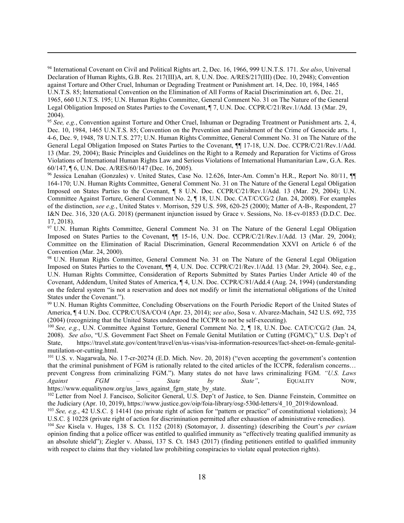94 International Covenant on Civil and Political Rights art. 2, Dec. 16, 1966, 999 U.N.T.S. 171. See also, Universal Declaration of Human Rights, G.B. Res. 217(III)A, art. 8, U.N. Doc. A/RES/217(III) (Dec. 10, 2948); Convention against Torture and Other Cruel, Inhuman or Degrading Treatment or Punishment art. 14, Dec. 10, 1984, 1465 U.N.T.S. 85; International Convention on the Elimination of All Forms of Racial Discrimination art. 6, Dec. 21, 1965, 660 U.N.T.S. 195; U.N. Human Rights Committee, General Comment No. 31 on The Nature of the General Legal Obligation Imposed on States Parties to the Covenant, ¶ 7, U.N. Doc. CCPR/C/21/Rev.1/Add. 13 (Mar. 29, 2004).

95 See, e.g., Convention against Torture and Other Cruel, Inhuman or Degrading Treatment or Punishment arts. 2, 4, Dec. 10, 1984, 1465 U.N.T.S. 85; Convention on the Prevention and Punishment of the Crime of Genocide arts. 1, 4-6, Dec. 9, 1948, 78 U.N.T.S. 277; U.N. Human Rights Committee, General Comment No. 31 on The Nature of the General Legal Obligation Imposed on States Parties to the Covenant, ¶¶ 17-18, U.N. Doc. CCPR/C/21/Rev.1/Add. 13 (Mar. 29, 2004); Basic Principles and Guidelines on the Right to a Remedy and Reparation for Victims of Gross Violations of International Human Rights Law and Serious Violations of International Humanitarian Law, G.A. Res. 60/147, ¶ 6, U.N. Doc. A/RES/60/147 (Dec. 16, 2005).

<sup>96</sup> Jessica Lenahan (Gonzales) v. United States, Case No. 12.626, Inter-Am. Comm'n H.R., Report No. 80/11, ¶¶ 164-170; U.N. Human Rights Committee, General Comment No. 31 on The Nature of the General Legal Obligation Imposed on States Parties to the Covenant, ¶ 8 U.N. Doc. CCPR/C/21/Rev.1/Add. 13 (Mar. 29, 2004); U.N. Committee Against Torture, General Comment No. 2, ¶ 18, U.N. Doc. CAT/C/CG/2 (Jan. 24, 2008). For examples of the distinction, see e.g., United States v. Morrison, 529 U.S. 598, 620-25 (2000); Matter of A-B-, Respondent, 27 I&N Dec. 316, 320 (A.G. 2018) (permanent injunction issued by Grace v. Sessions, No. 18-cv-01853 (D.D.C. Dec. 17, 2018).

<sup>97</sup> U.N. Human Rights Committee, General Comment No. 31 on The Nature of the General Legal Obligation Imposed on States Parties to the Covenant,  $\P$  15-16, U.N. Doc. CCPR/C/21/Rev.1/Add. 13 (Mar. 29, 2004); Committee on the Elimination of Racial Discrimination, General Recommendation XXVI on Article 6 of the Convention (Mar. 24, 2000).

<sup>98</sup> U.N. Human Rights Committee, General Comment No. 31 on The Nature of the General Legal Obligation Imposed on States Parties to the Covenant, ¶¶ 4, U.N. Doc. CCPR/C/21/Rev.1/Add. 13 (Mar. 29, 2004). See, e.g., U.N. Human Rights Committee, Consideration of Reports Submitted by States Parties Under Article 40 of the Covenant, Addendum, United States of America, ¶ 4, U.N. Doc. CCPR/C/81/Add.4 (Aug. 24, 1994) (understanding on the federal system "is not a reservation and does not modify or limit the international obligations of the United States under the Covenant.").

<sup>99</sup> U.N. Human Rights Committee, Concluding Observations on the Fourth Periodic Report of the United States of America, ¶ 4 U.N. Doc. CCPR/C/USA/CO/4 (Apr. 23, 2014); see also, Sosa v. Alvarez-Machain, 542 U.S. 692, 735 (2004) (recognizing that the United States understood the ICCPR to not be self-executing).

100 See, e.g., U.N. Committee Against Torture, General Comment No. 2, ¶ 18, U.N. Doc. CAT/C/CG/2 (Jan. 24, 2008). See also, "U.S. Government Fact Sheet on Female Genital Mutilation or Cutting (FGM/C)," U.S. Dep't of State, https://travel.state.gov/content/travel/en/us-visas/visa-information-resources/fact-sheet-on-female-genitalmutilation-or-cutting.html.

<sup>101</sup> U.S. v. Nagarwala, No. l 7-cr-20274 (E.D. Mich. Nov. 20, 2018) ("even accepting the government's contention that the criminal punishment of FGM is rationally related to the cited articles of the ICCPR, federalism concerns… prevent Congress from criminalizing FGM."). Many states do not have laws criminalizing FGM. "U.S. Laws Against  $FGM$  – State by State", EQUALITY NOW, https://www.equalitynow.org/us\_laws\_against\_fgm\_state\_by\_state.

<sup>102</sup> Letter from Noel J. Fancisco, Solicitor General, U.S. Dep't of Justice, to Sen. Dianne Feinstein, Committee on the Judiciary (Apr. 10, 2019), https://www.justice.gov/oip/foia-library/osg-530d-letters/4\_10\_2019/download.

<sup>103</sup> See, e.g., 42 U.S.C. § 14141 (no private right of action for "pattern or practice" of constitutional violations); 34 U.S.C. § 10228 (private right of action for discrimination permitted after exhaustion of administrative remedies).

<sup>104</sup> See Kisela v. Huges, 138 S. Ct. 1152 (2018) (Sotomayor, J. dissenting) (describing the Court's per curiam opinion finding that a police officer was entitled to qualified immunity as "effectively treating qualified immunity as an absolute shield"); Ziegler v. Abassi, 137 S. Ct. 1843 (2017) (finding petitioners entitled to qualified immunity with respect to claims that they violated law prohibiting conspiracies to violate equal protection rights).